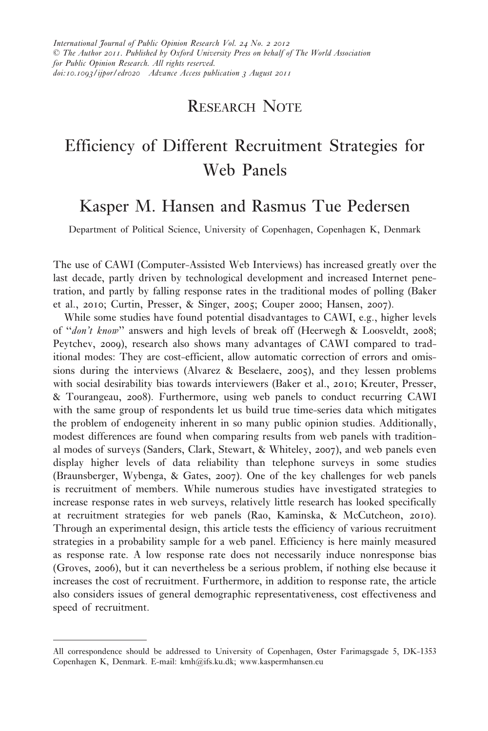# RESEARCH NOTE

# Efficiency of Different Recruitment Strategies for Web Panels

# Kasper M. Hansen and Rasmus Tue Pedersen

Department of Political Science, University of Copenhagen, Copenhagen K, Denmark

The use of CAWI (Computer-Assisted Web Interviews) has increased greatly over the last decade, partly driven by technological development and increased Internet penetration, and partly by falling response rates in the traditional modes of polling (Baker et al., 2010; Curtin, Presser, & Singer, 2005; Couper 2000; Hansen, 2007).

While some studies have found potential disadvantages to CAWI, e.g., higher levels of ''don't know'' answers and high levels of break off (Heerwegh & Loosveldt, 2008; Peytchev, 2009), research also shows many advantages of CAWI compared to traditional modes: They are cost-efficient, allow automatic correction of errors and omissions during the interviews (Alvarez & Beselaere, 2005), and they lessen problems with social desirability bias towards interviewers (Baker et al., 2010; Kreuter, Presser, & Tourangeau, 2008). Furthermore, using web panels to conduct recurring CAWI with the same group of respondents let us build true time-series data which mitigates the problem of endogeneity inherent in so many public opinion studies. Additionally, modest differences are found when comparing results from web panels with traditional modes of surveys (Sanders, Clark, Stewart, & Whiteley, 2007), and web panels even display higher levels of data reliability than telephone surveys in some studies (Braunsberger, Wybenga, & Gates, 2007). One of the key challenges for web panels is recruitment of members. While numerous studies have investigated strategies to increase response rates in web surveys, relatively little research has looked specifically at recruitment strategies for web panels (Rao, Kaminska, & McCutcheon, 2010). Through an experimental design, this article tests the efficiency of various recruitment strategies in a probability sample for a web panel. Efficiency is here mainly measured as response rate. A low response rate does not necessarily induce nonresponse bias (Groves, 2006), but it can nevertheless be a serious problem, if nothing else because it increases the cost of recruitment. Furthermore, in addition to response rate, the article also considers issues of general demographic representativeness, cost effectiveness and speed of recruitment.

All correspondence should be addressed to University of Copenhagen, Øster Farimagsgade 5, DK-1353 Copenhagen K, Denmark. E-mail: kmh@ifs.ku.dk; www.kaspermhansen.eu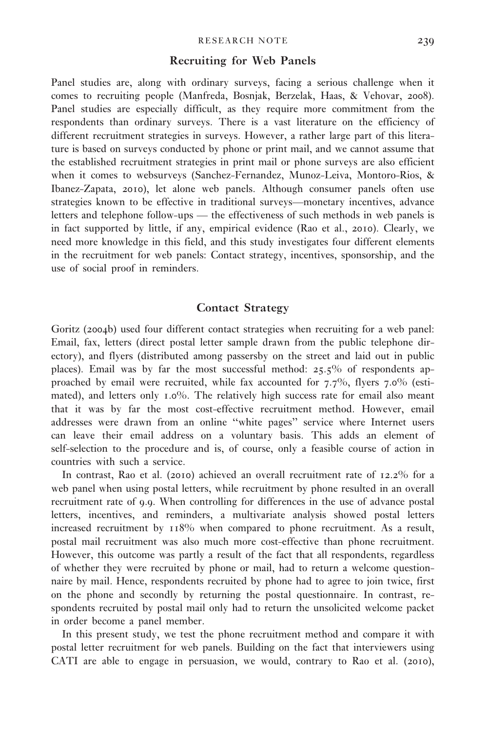#### Recruiting for Web Panels

Panel studies are, along with ordinary surveys, facing a serious challenge when it comes to recruiting people (Manfreda, Bosnjak, Berzelak, Haas, & Vehovar, 2008). Panel studies are especially difficult, as they require more commitment from the respondents than ordinary surveys. There is a vast literature on the efficiency of different recruitment strategies in surveys. However, a rather large part of this literature is based on surveys conducted by phone or print mail, and we cannot assume that the established recruitment strategies in print mail or phone surveys are also efficient when it comes to websurveys (Sanchez-Fernandez, Munoz-Leiva, Montoro-Rios, & Ibanez-Zapata, 2010), let alone web panels. Although consumer panels often use strategies known to be effective in traditional surveys—monetary incentives, advance letters and telephone follow-ups — the effectiveness of such methods in web panels is in fact supported by little, if any, empirical evidence (Rao et al., 2010). Clearly, we need more knowledge in this field, and this study investigates four different elements in the recruitment for web panels: Contact strategy, incentives, sponsorship, and the use of social proof in reminders.

# Contact Strategy

Goritz (2004b) used four different contact strategies when recruiting for a web panel: Email, fax, letters (direct postal letter sample drawn from the public telephone directory), and flyers (distributed among passersby on the street and laid out in public places). Email was by far the most successful method:  $25.5\%$  of respondents approached by email were recruited, while fax accounted for 7.7%, flyers 7.0% (estimated), and letters only 1.0%. The relatively high success rate for email also meant that it was by far the most cost-effective recruitment method. However, email addresses were drawn from an online ''white pages'' service where Internet users can leave their email address on a voluntary basis. This adds an element of self-selection to the procedure and is, of course, only a feasible course of action in countries with such a service.

In contrast, Rao et al. (2010) achieved an overall recruitment rate of 12.2% for a web panel when using postal letters, while recruitment by phone resulted in an overall recruitment rate of 9.9. When controlling for differences in the use of advance postal letters, incentives, and reminders, a multivariate analysis showed postal letters increased recruitment by 118% when compared to phone recruitment. As a result, postal mail recruitment was also much more cost-effective than phone recruitment. However, this outcome was partly a result of the fact that all respondents, regardless of whether they were recruited by phone or mail, had to return a welcome questionnaire by mail. Hence, respondents recruited by phone had to agree to join twice, first on the phone and secondly by returning the postal questionnaire. In contrast, respondents recruited by postal mail only had to return the unsolicited welcome packet in order become a panel member.

In this present study, we test the phone recruitment method and compare it with postal letter recruitment for web panels. Building on the fact that interviewers using CATI are able to engage in persuasion, we would, contrary to Rao et al. (2010),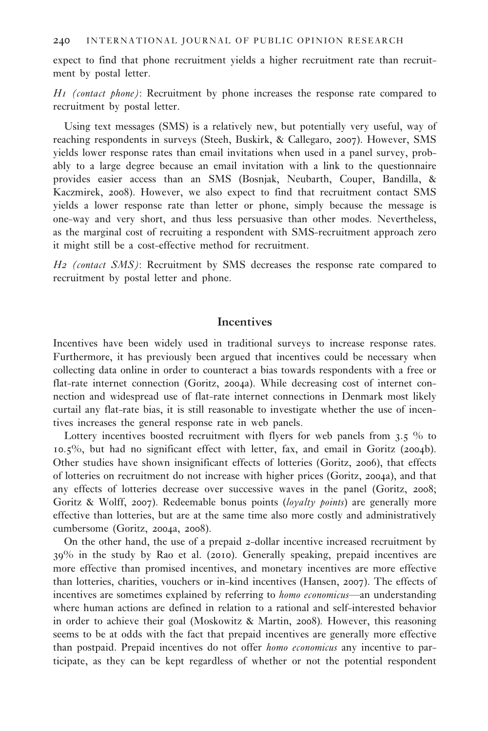expect to find that phone recruitment yields a higher recruitment rate than recruitment by postal letter.

H1 (contact phone): Recruitment by phone increases the response rate compared to recruitment by postal letter.

Using text messages (SMS) is a relatively new, but potentially very useful, way of reaching respondents in surveys (Steeh, Buskirk, & Callegaro, 2007). However, SMS yields lower response rates than email invitations when used in a panel survey, probably to a large degree because an email invitation with a link to the questionnaire provides easier access than an SMS (Bosnjak, Neubarth, Couper, Bandilla, & Kaczmirek, 2008). However, we also expect to find that recruitment contact SMS yields a lower response rate than letter or phone, simply because the message is one-way and very short, and thus less persuasive than other modes. Nevertheless, as the marginal cost of recruiting a respondent with SMS-recruitment approach zero it might still be a cost-effective method for recruitment.

H2 (contact SMS): Recruitment by SMS decreases the response rate compared to recruitment by postal letter and phone.

# Incentives

Incentives have been widely used in traditional surveys to increase response rates. Furthermore, it has previously been argued that incentives could be necessary when collecting data online in order to counteract a bias towards respondents with a free or flat-rate internet connection (Goritz, 2004a). While decreasing cost of internet connection and widespread use of flat-rate internet connections in Denmark most likely curtail any flat-rate bias, it is still reasonable to investigate whether the use of incentives increases the general response rate in web panels.

Lottery incentives boosted recruitment with flyers for web panels from 3.5 % to 10.5%, but had no significant effect with letter, fax, and email in Goritz (2004b). Other studies have shown insignificant effects of lotteries (Goritz, 2006), that effects of lotteries on recruitment do not increase with higher prices (Goritz, 2004a), and that any effects of lotteries decrease over successive waves in the panel (Goritz, 2008; Goritz & Wolff, 2007). Redeemable bonus points (loyalty points) are generally more effective than lotteries, but are at the same time also more costly and administratively cumbersome (Goritz, 2004a, 2008).

On the other hand, the use of a prepaid 2-dollar incentive increased recruitment by 39% in the study by Rao et al. (2010). Generally speaking, prepaid incentives are more effective than promised incentives, and monetary incentives are more effective than lotteries, charities, vouchers or in-kind incentives (Hansen, 2007). The effects of incentives are sometimes explained by referring to *homo economicus*—an understanding where human actions are defined in relation to a rational and self-interested behavior in order to achieve their goal (Moskowitz & Martin, 2008). However, this reasoning seems to be at odds with the fact that prepaid incentives are generally more effective than postpaid. Prepaid incentives do not offer homo economicus any incentive to participate, as they can be kept regardless of whether or not the potential respondent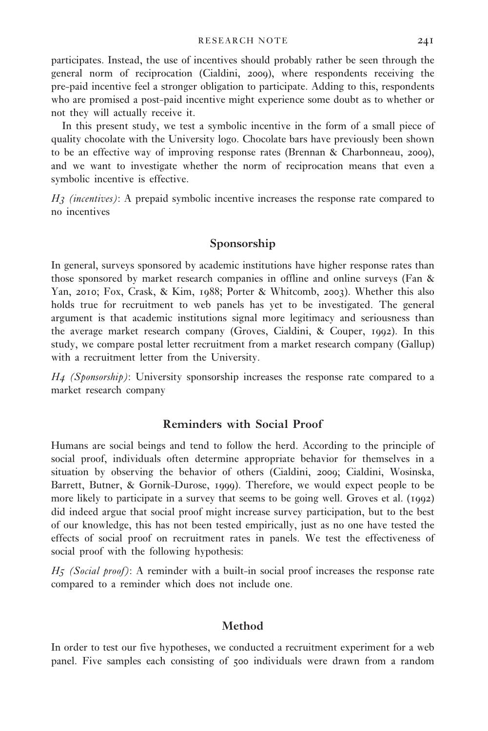participates. Instead, the use of incentives should probably rather be seen through the general norm of reciprocation (Cialdini, 2009), where respondents receiving the pre-paid incentive feel a stronger obligation to participate. Adding to this, respondents who are promised a post-paid incentive might experience some doubt as to whether or not they will actually receive it.

In this present study, we test a symbolic incentive in the form of a small piece of quality chocolate with the University logo. Chocolate bars have previously been shown to be an effective way of improving response rates (Brennan & Charbonneau, 2009), and we want to investigate whether the norm of reciprocation means that even a symbolic incentive is effective.

 $H_3$  (incentives): A prepaid symbolic incentive increases the response rate compared to no incentives

### Sponsorship

In general, surveys sponsored by academic institutions have higher response rates than those sponsored by market research companies in offline and online surveys (Fan & Yan, 2010; Fox, Crask, & Kim, 1988; Porter & Whitcomb, 2003). Whether this also holds true for recruitment to web panels has yet to be investigated. The general argument is that academic institutions signal more legitimacy and seriousness than the average market research company (Groves, Cialdini, & Couper, 1992). In this study, we compare postal letter recruitment from a market research company (Gallup) with a recruitment letter from the University.

 $H_4$  (Sponsorship): University sponsorship increases the response rate compared to a market research company

# Reminders with Social Proof

Humans are social beings and tend to follow the herd. According to the principle of social proof, individuals often determine appropriate behavior for themselves in a situation by observing the behavior of others (Cialdini, 2009; Cialdini, Wosinska, Barrett, Butner, & Gornik-Durose, 1999). Therefore, we would expect people to be more likely to participate in a survey that seems to be going well. Groves et al. (1992) did indeed argue that social proof might increase survey participation, but to the best of our knowledge, this has not been tested empirically, just as no one have tested the effects of social proof on recruitment rates in panels. We test the effectiveness of social proof with the following hypothesis:

 $H_5$  (Social proof): A reminder with a built-in social proof increases the response rate compared to a reminder which does not include one.

# Method

In order to test our five hypotheses, we conducted a recruitment experiment for a web panel. Five samples each consisting of 500 individuals were drawn from a random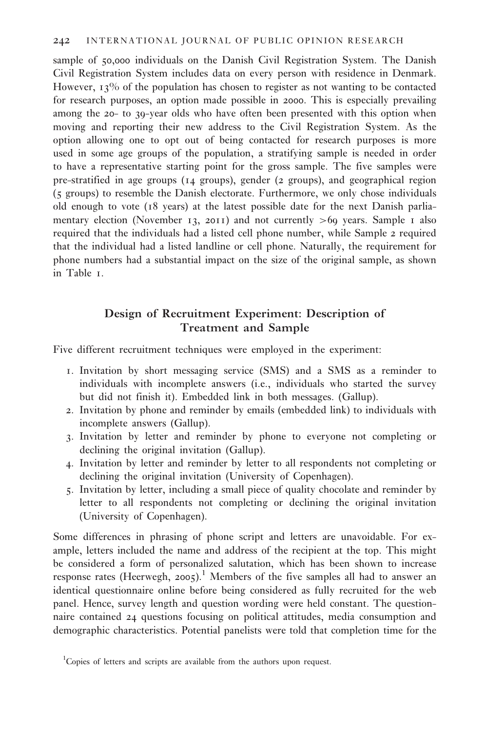sample of 50,000 individuals on the Danish Civil Registration System. The Danish Civil Registration System includes data on every person with residence in Denmark. However, 13% of the population has chosen to register as not wanting to be contacted for research purposes, an option made possible in 2000. This is especially prevailing among the 20- to 39-year olds who have often been presented with this option when moving and reporting their new address to the Civil Registration System. As the option allowing one to opt out of being contacted for research purposes is more used in some age groups of the population, a stratifying sample is needed in order to have a representative starting point for the gross sample. The five samples were pre-stratified in age groups (14 groups), gender (2 groups), and geographical region (5 groups) to resemble the Danish electorate. Furthermore, we only chose individuals old enough to vote (18 years) at the latest possible date for the next Danish parliamentary election (November 13, 2011) and not currently  $>60$  years. Sample 1 also required that the individuals had a listed cell phone number, while Sample 2 required that the individual had a listed landline or cell phone. Naturally, the requirement for phone numbers had a substantial impact on the size of the original sample, as shown in Table 1.

# Design of Recruitment Experiment: Description of Treatment and Sample

Five different recruitment techniques were employed in the experiment:

- 1. Invitation by short messaging service (SMS) and a SMS as a reminder to individuals with incomplete answers (i.e., individuals who started the survey but did not finish it). Embedded link in both messages. (Gallup).
- 2. Invitation by phone and reminder by emails (embedded link) to individuals with incomplete answers (Gallup).
- 3. Invitation by letter and reminder by phone to everyone not completing or declining the original invitation (Gallup).
- 4. Invitation by letter and reminder by letter to all respondents not completing or declining the original invitation (University of Copenhagen).
- 5. Invitation by letter, including a small piece of quality chocolate and reminder by letter to all respondents not completing or declining the original invitation (University of Copenhagen).

Some differences in phrasing of phone script and letters are unavoidable. For example, letters included the name and address of the recipient at the top. This might be considered a form of personalized salutation, which has been shown to increase response rates (Heerwegh, 2005).<sup>1</sup> Members of the five samples all had to answer an identical questionnaire online before being considered as fully recruited for the web panel. Hence, survey length and question wording were held constant. The questionnaire contained 24 questions focusing on political attitudes, media consumption and demographic characteristics. Potential panelists were told that completion time for the

<sup>&</sup>lt;sup>1</sup>Copies of letters and scripts are available from the authors upon request.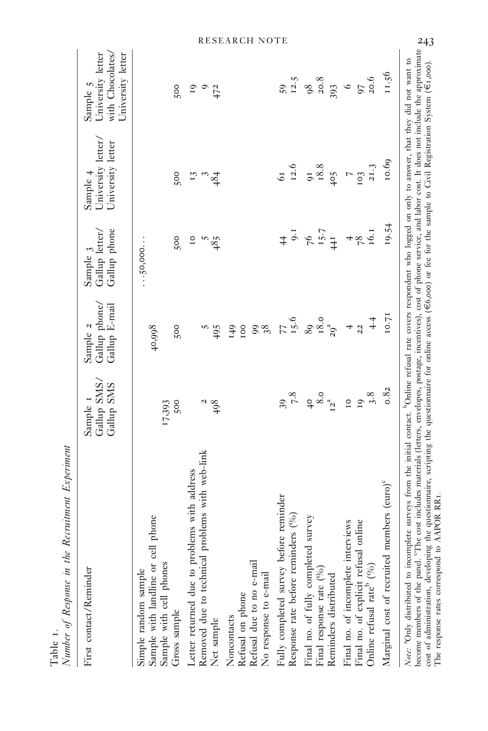| First contact/Reminder                                                                                                                                                                                                                                                                                                                                                                                                                                                                                                                                                                                                                             | Gallup SMS,<br>Gallup SMS<br>Sample I | Gallup phone/<br>Gallup E-mail<br>Sample 2 | Gallup phone<br>Gallup letter,<br>Sample 3 | University letter.<br>University letter<br>Sample 4 | with Chocolates/<br>University letter<br>University letter<br>Sample 5 |
|----------------------------------------------------------------------------------------------------------------------------------------------------------------------------------------------------------------------------------------------------------------------------------------------------------------------------------------------------------------------------------------------------------------------------------------------------------------------------------------------------------------------------------------------------------------------------------------------------------------------------------------------------|---------------------------------------|--------------------------------------------|--------------------------------------------|-----------------------------------------------------|------------------------------------------------------------------------|
| phone<br>Sample with landline or cell<br>Sample with cell phones<br>Simple random sample<br>Gross sample                                                                                                                                                                                                                                                                                                                                                                                                                                                                                                                                           | 500<br>17,393                         | 500<br>40,998                              | 500<br>$\dots$ 50,000.                     | 500                                                 | 500                                                                    |
| Removed due to technical problems with web-link<br>Letter returned due to problems with address<br>Net sample                                                                                                                                                                                                                                                                                                                                                                                                                                                                                                                                      | $\frac{8}{4}$                         | m<br>495                                   | $\overline{10}$<br>485                     | $\sqrt{34}$<br>$E_3$                                | 19<br>$^{9}$<br>47 <sup>2</sup>                                        |
| Refusal due to no e-mail<br>No response to e-mail<br>Refusal on phone<br>Noncontacts                                                                                                                                                                                                                                                                                                                                                                                                                                                                                                                                                               |                                       | IOO<br>98<br>149                           |                                            |                                                     |                                                                        |
| Fully completed survey before reminder<br>Response rate before reminders (%)                                                                                                                                                                                                                                                                                                                                                                                                                                                                                                                                                                       | $7.8\,$<br>39                         | 77.6                                       | 9.1                                        | 12.6<br>$\overline{61}$                             | 12.5<br>59                                                             |
| survey<br>Final no. of fully completed<br>Final response rate $(%)$<br>Reminders distributed                                                                                                                                                                                                                                                                                                                                                                                                                                                                                                                                                       | $^{40}_{8.0}$                         | $18.0$<br>$29^{3}$<br>89                   | $76$<br>$15.7$<br>$441$                    | 18.8<br>$\overline{0}$<br>405                       | 20.8<br>393<br>98                                                      |
| Final no. of incomplete interviews<br>Final no. of explicit refusal online<br>Online refusal rate <sup>b</sup> (%)                                                                                                                                                                                                                                                                                                                                                                                                                                                                                                                                 | 3.8<br>$\overline{10}$<br>19          | 4.4<br>$\overline{22}$<br>$\overline{a}$   | $\frac{78}{16.1}$<br>$\overline{a}$        | 21.3<br>$\overline{a}$<br>103                       | 97 <sub>20.6</sub><br>$\circ$                                          |
| Marginal cost of recruited members (euro) <sup>c</sup>                                                                                                                                                                                                                                                                                                                                                                                                                                                                                                                                                                                             | 0.82                                  | 10.71                                      | 19.54                                      | 10.69                                               | 11.56                                                                  |
| become members of the panel. <sup>o</sup> The cost includes materials (letters, envelopes, postage, incentives), cost of phone service, and labor cost. It does not include the approximate<br>Note: <sup>4</sup> Only distributed to incomplete surveys from the initial contact. <sup>b</sup> Online refusal rate covers respondent who logged on only to answer, that they did not want to<br>the questionnaire, scripting the questionnaire for online access ( $\epsilon$ 6,000) or fee for the sample to Givil Registration System ( $\epsilon$ 1,000).<br>The response rates correspond to AAPOR RR1.<br>cost of administration, developing |                                       |                                            |                                            |                                                     |                                                                        |

Number of Response in the Recruitment Experiment Number of Response in the Recruitment Experiment Table 1.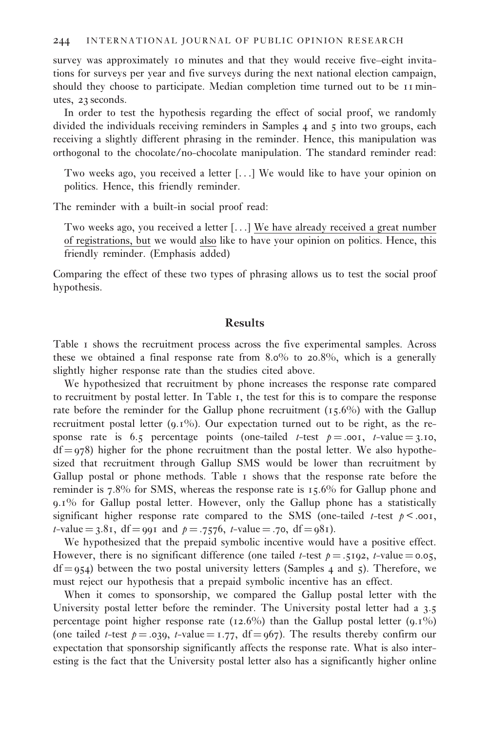survey was approximately 10 minutes and that they would receive five–eight invitations for surveys per year and five surveys during the next national election campaign, should they choose to participate. Median completion time turned out to be 11 minutes, 23 seconds.

In order to test the hypothesis regarding the effect of social proof, we randomly divided the individuals receiving reminders in Samples 4 and 5 into two groups, each receiving a slightly different phrasing in the reminder. Hence, this manipulation was orthogonal to the chocolate/no-chocolate manipulation. The standard reminder read:

Two weeks ago, you received a letter [...] We would like to have your opinion on politics. Hence, this friendly reminder.

The reminder with a built-in social proof read:

Two weeks ago, you received a letter [...] We have already received a great number of registrations, but we would also like to have your opinion on politics. Hence, this friendly reminder. (Emphasis added)

Comparing the effect of these two types of phrasing allows us to test the social proof hypothesis.

# Results

Table 1 shows the recruitment process across the five experimental samples. Across these we obtained a final response rate from 8.0% to 20.8%, which is a generally slightly higher response rate than the studies cited above.

We hypothesized that recruitment by phone increases the response rate compared to recruitment by postal letter. In Table 1, the test for this is to compare the response rate before the reminder for the Gallup phone recruitment  $(15.6\%)$  with the Gallup recruitment postal letter  $(9.1\%)$ . Our expectation turned out to be right, as the response rate is 6.5 percentage points (one-tailed t-test  $p = .001$ , t-value = 3.10,  $df = 978$ ) higher for the phone recruitment than the postal letter. We also hypothesized that recruitment through Gallup SMS would be lower than recruitment by Gallup postal or phone methods. Table 1 shows that the response rate before the reminder is 7.8% for SMS, whereas the response rate is 15.6% for Gallup phone and 9.1% for Gallup postal letter. However, only the Gallup phone has a statistically significant higher response rate compared to the SMS (one-tailed *t*-test  $p < .001$ ,  $t$ -value = 3.81, df = 991 and  $p = .7576$ ,  $t$ -value = .70, df = 981).

We hypothesized that the prepaid symbolic incentive would have a positive effect. However, there is no significant difference (one tailed t-test  $p = .5192$ , t-value = 0.05,  $df = 954$ ) between the two postal university letters (Samples 4 and 5). Therefore, we must reject our hypothesis that a prepaid symbolic incentive has an effect.

When it comes to sponsorship, we compared the Gallup postal letter with the University postal letter before the reminder. The University postal letter had a 3.5 percentage point higher response rate (12.6%) than the Gallup postal letter  $(9.1\%)$ (one tailed t-test  $p = .039$ , t-value = 1.77, df = 967). The results thereby confirm our expectation that sponsorship significantly affects the response rate. What is also interesting is the fact that the University postal letter also has a significantly higher online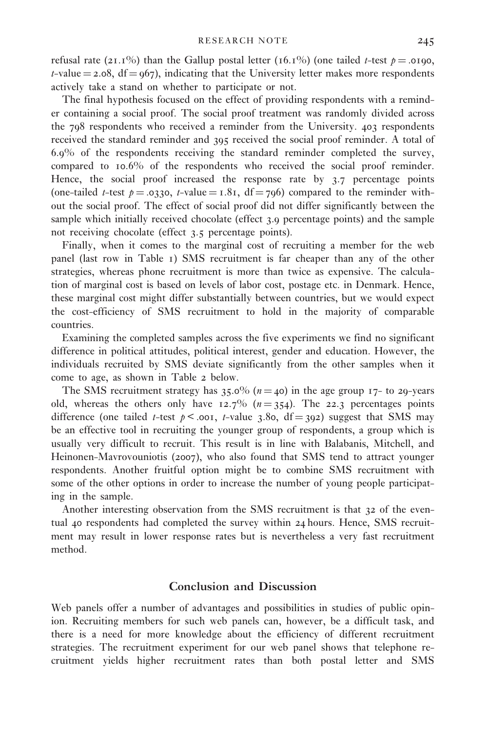refusal rate (21.1%) than the Gallup postal letter (16.1%) (one tailed t-test  $p = .0190$ , t-value  $=$  2.08, df  $=$  967), indicating that the University letter makes more respondents actively take a stand on whether to participate or not.

The final hypothesis focused on the effect of providing respondents with a reminder containing a social proof. The social proof treatment was randomly divided across the 798 respondents who received a reminder from the University. 403 respondents received the standard reminder and 395 received the social proof reminder. A total of 6.9% of the respondents receiving the standard reminder completed the survey, compared to 10.6% of the respondents who received the social proof reminder. Hence, the social proof increased the response rate by 3.7 percentage points (one-tailed *t*-test  $p = .0330$ , *t*-value = 1.81, df = 796) compared to the reminder without the social proof. The effect of social proof did not differ significantly between the sample which initially received chocolate (effect 3.9 percentage points) and the sample not receiving chocolate (effect 3.5 percentage points).

Finally, when it comes to the marginal cost of recruiting a member for the web panel (last row in Table 1) SMS recruitment is far cheaper than any of the other strategies, whereas phone recruitment is more than twice as expensive. The calculation of marginal cost is based on levels of labor cost, postage etc. in Denmark. Hence, these marginal cost might differ substantially between countries, but we would expect the cost-efficiency of SMS recruitment to hold in the majority of comparable countries.

Examining the completed samples across the five experiments we find no significant difference in political attitudes, political interest, gender and education. However, the individuals recruited by SMS deviate significantly from the other samples when it come to age, as shown in Table 2 below.

The SMS recruitment strategy has  $35.0\%$  ( $n = 40$ ) in the age group 17- to 29-years old, whereas the others only have  $12.7\%$  ( $n = 354$ ). The 22.3 percentages points difference (one tailed t-test  $p < .001$ , t-value 3.80, df = 392) suggest that SMS may be an effective tool in recruiting the younger group of respondents, a group which is usually very difficult to recruit. This result is in line with Balabanis, Mitchell, and Heinonen-Mavrovouniotis (2007), who also found that SMS tend to attract younger respondents. Another fruitful option might be to combine SMS recruitment with some of the other options in order to increase the number of young people participating in the sample.

Another interesting observation from the SMS recruitment is that 32 of the eventual 40 respondents had completed the survey within 24 hours. Hence, SMS recruitment may result in lower response rates but is nevertheless a very fast recruitment method.

#### Conclusion and Discussion

Web panels offer a number of advantages and possibilities in studies of public opinion. Recruiting members for such web panels can, however, be a difficult task, and there is a need for more knowledge about the efficiency of different recruitment strategies. The recruitment experiment for our web panel shows that telephone recruitment yields higher recruitment rates than both postal letter and SMS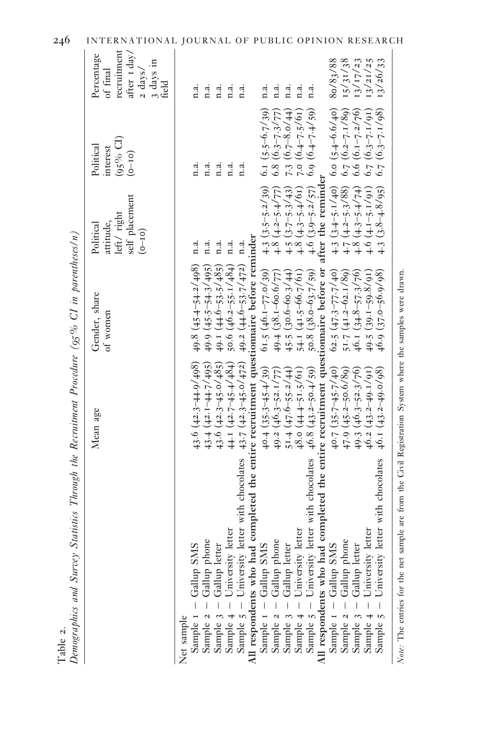|                                                                                                                                                                                                 | Mean age                    | Gender, share                                          | Political                                | Political                                    | Percentage         |
|-------------------------------------------------------------------------------------------------------------------------------------------------------------------------------------------------|-----------------------------|--------------------------------------------------------|------------------------------------------|----------------------------------------------|--------------------|
|                                                                                                                                                                                                 |                             | of women                                               | attitude,                                | interest                                     | of final           |
|                                                                                                                                                                                                 |                             |                                                        | left/right                               | $(95\% \text{ Cl})$                          | recruitment        |
|                                                                                                                                                                                                 |                             |                                                        | self placement                           | $(0 - 10)$                                   | after 1 day/       |
|                                                                                                                                                                                                 |                             |                                                        | $(0 - 10)$                               |                                              | $2 \text{ days}$   |
|                                                                                                                                                                                                 |                             |                                                        |                                          |                                              | 3 days in<br>field |
| Net sample                                                                                                                                                                                      |                             |                                                        |                                          |                                              |                    |
| - Gallup SMS<br>Sample 1                                                                                                                                                                        | 43.6 $(42.3 - 44.9 / 498)$  | $49.8 (45.4 - 54.2 / 498)$                             | n.a.                                     | n.a.                                         | n.a.               |
| Sample 2 - Gallup phone                                                                                                                                                                         | $43.4 (42.1 - 44.7 / 495)$  | $49.9 (45.5 - 54.3 / 495)$                             | n.a.                                     | n.a.                                         | n.a.               |
| Sample 3 - Gallup letter<br>Sample 4 - University letter                                                                                                                                        | 43.6 $(42.3 - 45.0 / 485)$  | 49.1 $(44.6 - 53.5 / 485)$                             | n.a.                                     | n.a.                                         | n.a.               |
|                                                                                                                                                                                                 | 44.1 $(42.7 - 45.4 / 484)$  | 50.6 $(46.2 - 55.1 / 484)$                             | n.a.                                     | n.a.                                         | n.a.               |
| Sample $5$ – University letter with chocolates $43.7$ $(42.3-45.0/472)$ $49.2$ $(44.6-53.7/472)$ n.a.<br>All respondents who had completed the entire recruitment questionnaire before reminder |                             |                                                        |                                          | n.a.                                         | n.a.               |
|                                                                                                                                                                                                 |                             |                                                        |                                          |                                              |                    |
| Sample $1 -$ Gallup SMS<br>Sample $2 -$ Gallup phone<br>Sample $3 -$ Gallup letter<br>Sample $4 -$ University letter                                                                            | $40.4(35.3 - 45.4/39)$      | $61.5(46.1 - 77.0/39)$                                 |                                          |                                              | n.a.               |
|                                                                                                                                                                                                 | 49.2 $(46.3 - 52.177)$      |                                                        | 4.3 $(3.5-5.2/39)$<br>4.8 $(4.2-5.4/77)$ | 6.1 $(5.5-6.7/39)$<br>6.8 $(6.3-7.3/77)$     | n.a.               |
|                                                                                                                                                                                                 | $51.4 (47.6 - 55.2/44)$     | 49.4 $(38.1 - 60.6 / 77)$<br>45.5 $(30.6 - 60.3 / 44)$ | $4.5(3.7-5.3/43)$                        | 7.3 $(6.7 - 8.0/44)$<br>7.0 $(6.4 - 7.5/61)$ | n.a.               |
|                                                                                                                                                                                                 | $48.0(44.4 - 51.5/61)$      | 54.1 $(41.5 - 66.7/61)$                                | $4.8(4.3 - 5.4/61)$                      |                                              | n.a.               |
| Sample 5 - University letter with chocolates                                                                                                                                                    | $46.8$ $(43.2 - 50.4 / 59)$ | $50.8$ $(38.0 - 63.7 / 59)$                            | $4.6$ $(3.9 - 5.2 / 57)$                 | $6.9(6.4 - 7.4 / 59)$                        | n.a.               |
| All respondents who had completed the entire recruitment questionnaire before or                                                                                                                |                             |                                                        | after the reminder                       |                                              |                    |
| Sample 1 - Gallup SMS                                                                                                                                                                           | $40.7 (35.7 - 45.7 / 40)$   | $62.5(47.3 - 77.7/40)$                                 | 4.3 $(3.4 - 5.1 / 40)$                   | $6.0 (5.4 - 6.6 / 40)$                       | 8o/83/88           |
| Sample $2 -$ Gallup phone                                                                                                                                                                       | $47.9(45.2 - 50.6/8)$       | 51.7 $(41.2 - 62.1/8)$                                 | $4.7(4.2 - 5.3/88)$                      | $6.7 (6.2 - 7.1/8)$                          | 15/31/38           |
| Gallup letter<br>Sample 3                                                                                                                                                                       | 49.3 $(46.3 - 52.3 / 76)$   | $46.1 (34.8 - 57.37)$                                  | $(4.3 - 5.4/74)$<br>$-4.8$               | $6.6$ $(6.1 - 7.2 / 76)$                     | 13/17/23           |
| ter<br>University lett<br>Sample                                                                                                                                                                | $46.2 (43.2 - 49.1/91)$     | $49.5(39.1 - 59.8/91)$                                 | $4.6(4.1 - 5.1/91)$                      | $6.7(6.3-7.1/91)$                            | 13/21/25           |
| ter with chocolates<br>University lett<br>Sample                                                                                                                                                | $46.1 (43.2 - 49.0 / 98)$   | $46.9$ $(37.0 - 56.9 / 98)$                            | $4.3(3.8 - 4.8/95)$                      | $6.7(6.3-7.1/98)$                            | 13/26/33           |
| Note: The entries for the net sample are from the Civil Registration System where the samples were drawn.                                                                                       |                             |                                                        |                                          |                                              |                    |

246 INTERNATIONAL JOURNAL OF PUBLIC OPINION RESEARCH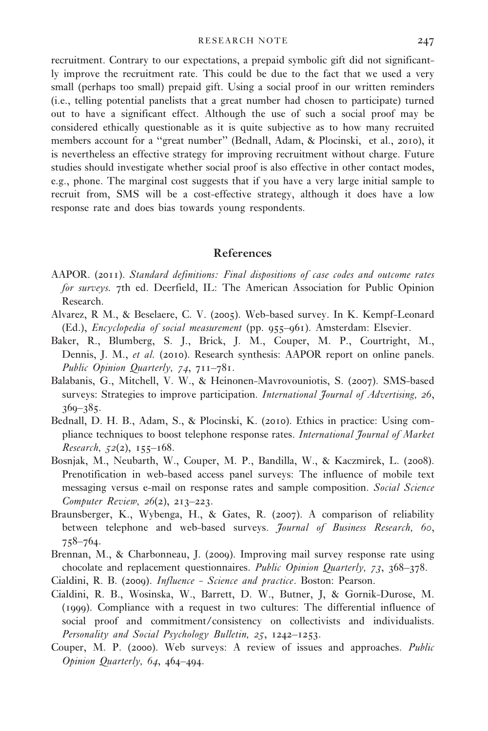recruitment. Contrary to our expectations, a prepaid symbolic gift did not significantly improve the recruitment rate. This could be due to the fact that we used a very small (perhaps too small) prepaid gift. Using a social proof in our written reminders (i.e., telling potential panelists that a great number had chosen to participate) turned out to have a significant effect. Although the use of such a social proof may be considered ethically questionable as it is quite subjective as to how many recruited members account for a "great number" (Bednall, Adam, & Plocinski, et al., 2010), it is nevertheless an effective strategy for improving recruitment without charge. Future studies should investigate whether social proof is also effective in other contact modes, e.g., phone. The marginal cost suggests that if you have a very large initial sample to recruit from, SMS will be a cost-effective strategy, although it does have a low response rate and does bias towards young respondents.

### References

- AAPOR. (2011). Standard definitions: Final dispositions of case codes and outcome rates for surveys. 7th ed. Deerfield, IL: The American Association for Public Opinion Research.
- Alvarez, R M., & Beselaere, C. V. (2005). Web-based survey. In K. Kempf-Leonard (Ed.), Encyclopedia of social measurement (pp. 955–961). Amsterdam: Elsevier.
- Baker, R., Blumberg, S. J., Brick, J. M., Couper, M. P., Courtright, M., Dennis, J. M., et al. (2010). Research synthesis: AAPOR report on online panels. Public Opinion Quarterly, 74, 711–781.
- Balabanis, G., Mitchell, V. W., & Heinonen-Mavrovouniotis, S. (2007). SMS-based surveys: Strategies to improve participation. International Journal of Advertising, 26, 369–385.
- Bednall, D. H. B., Adam, S., & Plocinski, K. (2010). Ethics in practice: Using compliance techniques to boost telephone response rates. International Journal of Market Research,  $52(2)$ ,  $155-168$ .
- Bosnjak, M., Neubarth, W., Couper, M. P., Bandilla, W., & Kaczmirek, L. (2008). Prenotification in web-based access panel surveys: The influence of mobile text messaging versus e-mail on response rates and sample composition. Social Science Computer Review, 26(2), 213–223.
- Braunsberger, K., Wybenga, H., & Gates, R. (2007). A comparison of reliability between telephone and web-based surveys. Journal of Business Research, 60, 758–764.
- Brennan, M., & Charbonneau, J. (2009). Improving mail survey response rate using chocolate and replacement questionnaires. Public Opinion Quarterly, 73, 368–378.
- Cialdini, R. B. (2009). Influence Science and practice. Boston: Pearson.
- Cialdini, R. B., Wosinska, W., Barrett, D. W., Butner, J, & Gornik-Durose, M. (1999). Compliance with a request in two cultures: The differential influence of social proof and commitment/consistency on collectivists and individualists. Personality and Social Psychology Bulletin, 25, 1242–1253.
- Couper, M. P. (2000). Web surveys: A review of issues and approaches. Public Opinion Quarterly, 64, 464–494.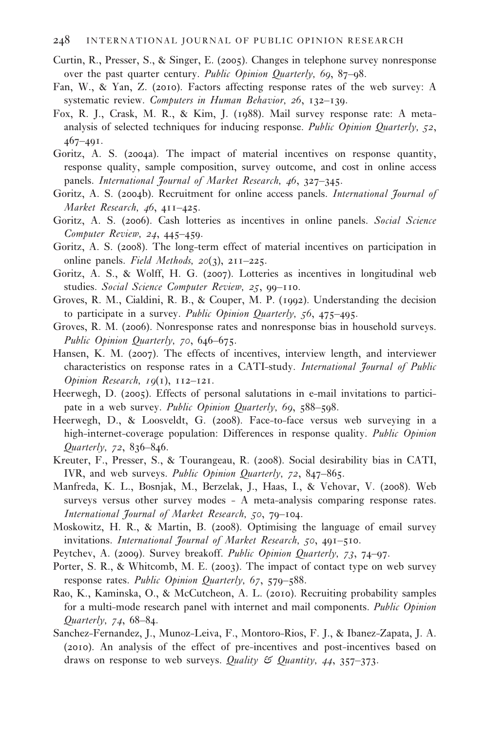#### 248 INTERNATIONAL JOURNAL OF PUBLIC OPINION RESEARCH

- Curtin, R., Presser, S., & Singer, E. (2005). Changes in telephone survey nonresponse over the past quarter century. Public Opinion Quarterly, 69, 87–98.
- Fan, W., & Yan, Z. (2010). Factors affecting response rates of the web survey: A systematic review. Computers in Human Behavior, 26, 132-139.
- Fox, R. J., Crask, M. R., & Kim, J. (1988). Mail survey response rate: A metaanalysis of selected techniques for inducing response. Public Opinion Quarterly, 52, 467–491.
- Goritz, A. S. (2004a). The impact of material incentives on response quantity, response quality, sample composition, survey outcome, and cost in online access panels. International Journal of Market Research, 46, 327–345.
- Goritz, A. S. (2004b). Recruitment for online access panels. International Journal of Market Research, 46, 411–425.
- Goritz, A. S. (2006). Cash lotteries as incentives in online panels. Social Science Computer Review, 24, 445–459.
- Goritz, A. S. (2008). The long-term effect of material incentives on participation in online panels. Field Methods,  $20(3)$ ,  $211-225$ .
- Goritz, A. S., & Wolff, H. G. (2007). Lotteries as incentives in longitudinal web studies. Social Science Computer Review, 25, 99-110.
- Groves, R. M., Cialdini, R. B., & Couper, M. P. (1992). Understanding the decision to participate in a survey. Public Opinion Quarterly, 56, 475–495.
- Groves, R. M. (2006). Nonresponse rates and nonresponse bias in household surveys. Public Opinion Quarterly, 70, 646–675.
- Hansen, K. M. (2007). The effects of incentives, interview length, and interviewer characteristics on response rates in a CATI-study. International Journal of Public Opinion Research, 19(1), 112–121.
- Heerwegh, D. (2005). Effects of personal salutations in e-mail invitations to participate in a web survey. *Public Opinion Quarterly*, 69, 588–598.
- Heerwegh, D., & Loosveldt, G. (2008). Face-to-face versus web surveying in a high-internet-coverage population: Differences in response quality. Public Opinion  $Quarterly, 72, 836 - 846.$
- Kreuter, F., Presser, S., & Tourangeau, R. (2008). Social desirability bias in CATI, IVR, and web surveys. Public Opinion Quarterly, 72, 847–865.
- Manfreda, K. L., Bosnjak, M., Berzelak, J., Haas, I., & Vehovar, V. (2008). Web surveys versus other survey modes - A meta-analysis comparing response rates. International Journal of Market Research, 50, 79–104.
- Moskowitz, H. R., & Martin, B. (2008). Optimising the language of email survey invitations. International Journal of Market Research, 50, 491–510.
- Peytchev, A. (2009). Survey breakoff. Public Opinion Quarterly, 73, 74–97.
- Porter, S. R., & Whitcomb, M. E. (2003). The impact of contact type on web survey response rates. Public Opinion Quarterly, 67, 579–588.
- Rao, K., Kaminska, O., & McCutcheon, A. L. (2010). Recruiting probability samples for a multi-mode research panel with internet and mail components. Public Opinion Quarterly, 74, 68–84.
- Sanchez-Fernandez, J., Munoz-Leiva, F., Montoro-Rios, F. J., & Ibanez-Zapata, J. A. (2010). An analysis of the effect of pre-incentives and post-incentives based on draws on response to web surveys. Quality  $\mathfrak{S}$  Quantity, 44, 357–373.